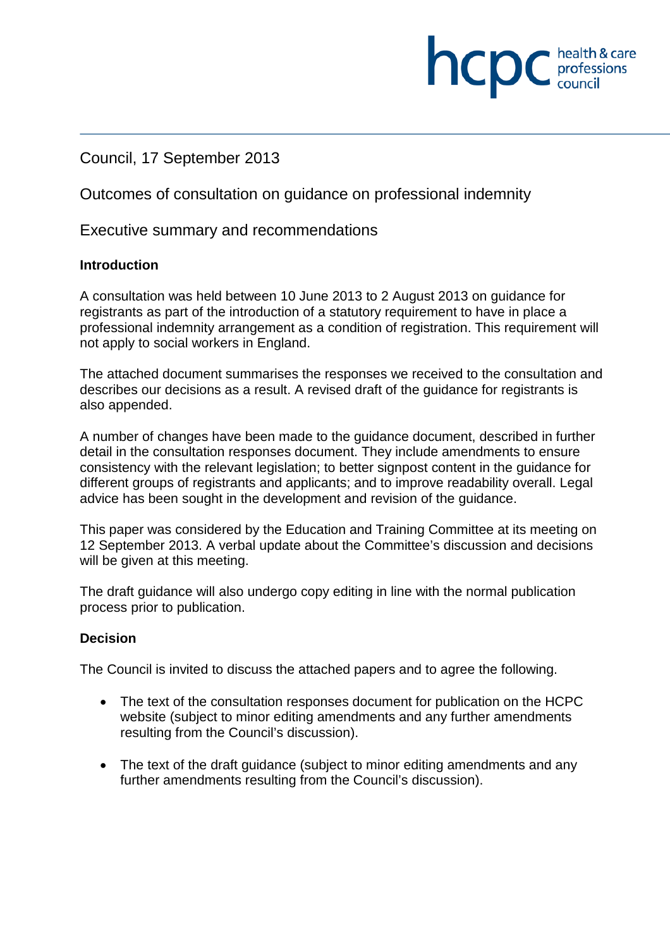## Council, 17 September 2013

Outcomes of consultation on guidance on professional indemnity

Executive summary and recommendations

#### **Introduction**

A consultation was held between 10 June 2013 to 2 August 2013 on guidance for registrants as part of the introduction of a statutory requirement to have in place a professional indemnity arrangement as a condition of registration. This requirement will not apply to social workers in England.

health & care

professions<br>council

hcpc

The attached document summarises the responses we received to the consultation and describes our decisions as a result. A revised draft of the guidance for registrants is also appended.

A number of changes have been made to the guidance document, described in further detail in the consultation responses document. They include amendments to ensure consistency with the relevant legislation; to better signpost content in the guidance for different groups of registrants and applicants; and to improve readability overall. Legal advice has been sought in the development and revision of the guidance.

This paper was considered by the Education and Training Committee at its meeting on 12 September 2013. A verbal update about the Committee's discussion and decisions will be given at this meeting.

The draft guidance will also undergo copy editing in line with the normal publication process prior to publication.

#### **Decision**

The Council is invited to discuss the attached papers and to agree the following.

- The text of the consultation responses document for publication on the HCPC website (subject to minor editing amendments and any further amendments resulting from the Council's discussion).
- The text of the draft guidance (subject to minor editing amendments and any further amendments resulting from the Council's discussion).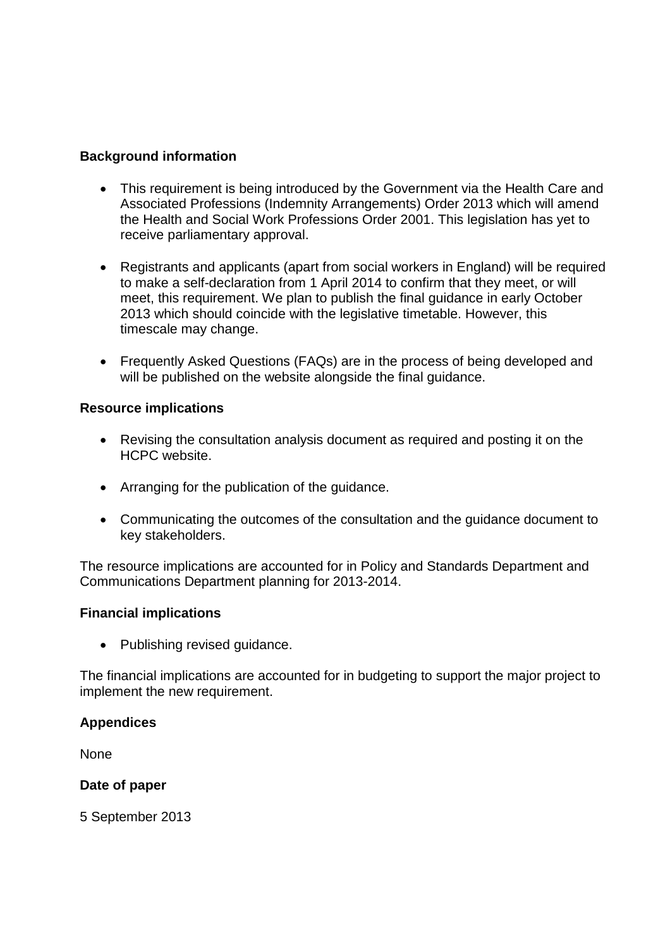#### **Background information**

- This requirement is being introduced by the Government via the Health Care and Associated Professions (Indemnity Arrangements) Order 2013 which will amend the Health and Social Work Professions Order 2001. This legislation has yet to receive parliamentary approval.
- Registrants and applicants (apart from social workers in England) will be required to make a self-declaration from 1 April 2014 to confirm that they meet, or will meet, this requirement. We plan to publish the final guidance in early October 2013 which should coincide with the legislative timetable. However, this timescale may change.
- Frequently Asked Questions (FAQs) are in the process of being developed and will be published on the website alongside the final quidance.

#### **Resource implications**

- Revising the consultation analysis document as required and posting it on the HCPC website.
- Arranging for the publication of the guidance.
- Communicating the outcomes of the consultation and the guidance document to key stakeholders.

The resource implications are accounted for in Policy and Standards Department and Communications Department planning for 2013-2014.

#### **Financial implications**

• Publishing revised guidance.

The financial implications are accounted for in budgeting to support the major project to implement the new requirement.

#### **Appendices**

None

#### **Date of paper**

5 September 2013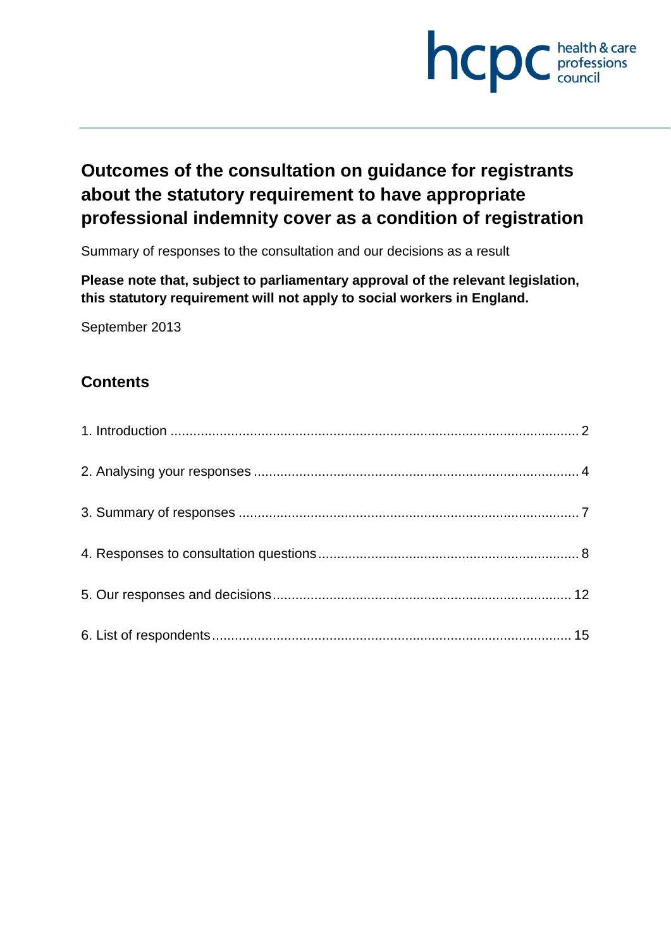

# **Outcomes of the consultation on guidance for registrants about the statutory requirement to have appropriate professional indemnity cover as a condition of registration**

Summary of responses to the consultation and our decisions as a result

**Please note that, subject to parliamentary approval of the relevant legislation, this statutory requirement will not apply to social workers in England.**

September 2013

## **Contents**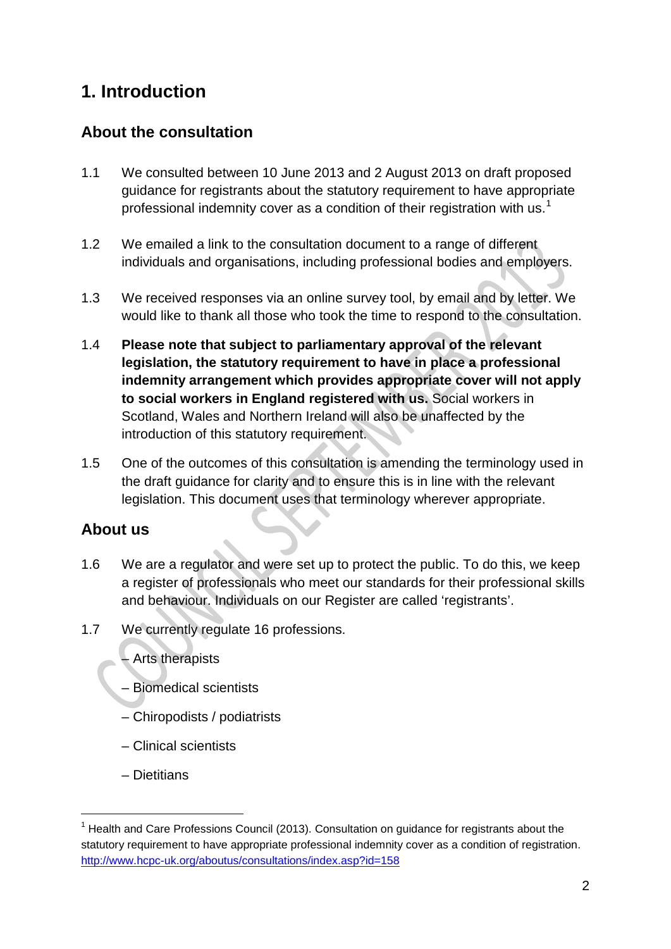# **1. Introduction**

## **About the consultation**

- 1.1 We consulted between 10 June 2013 and 2 August 2013 on draft proposed guidance for registrants about the statutory requirement to have appropriate professional indemnity cover as a condition of their registration with us.<sup>1</sup>
- 1.2 We emailed a link to the consultation document to a range of different individuals and organisations, including professional bodies and employers.
- 1.3 We received responses via an online survey tool, by email and by letter. We would like to thank all those who took the time to respond to the consultation.
- 1.4 **Please note that subject to parliamentary approval of the relevant legislation, the statutory requirement to have in place a professional indemnity arrangement which provides appropriate cover will not apply to social workers in England registered with us.** Social workers in Scotland, Wales and Northern Ireland will also be unaffected by the introduction of this statutory requirement.
- 1.5 One of the outcomes of this consultation is amending the terminology used in the draft guidance for clarity and to ensure this is in line with the relevant legislation. This document uses that terminology wherever appropriate.

## **About us**

- 1.6 We are a regulator and were set up to protect the public. To do this, we keep a register of professionals who meet our standards for their professional skills and behaviour. Individuals on our Register are called 'registrants'.
- 1.7 We currently regulate 16 professions.
	- Arts therapists
	- Biomedical scientists
	- Chiropodists / podiatrists
	- Clinical scientists
	- Dietitians

 $<sup>1</sup>$  Health and Care Professions Council (2013). Consultation on quidance for registrants about the</sup> statutory requirement to have appropriate professional indemnity cover as a condition of registration. http://www.hcpc-uk.org/aboutus/consultations/index.asp?id=158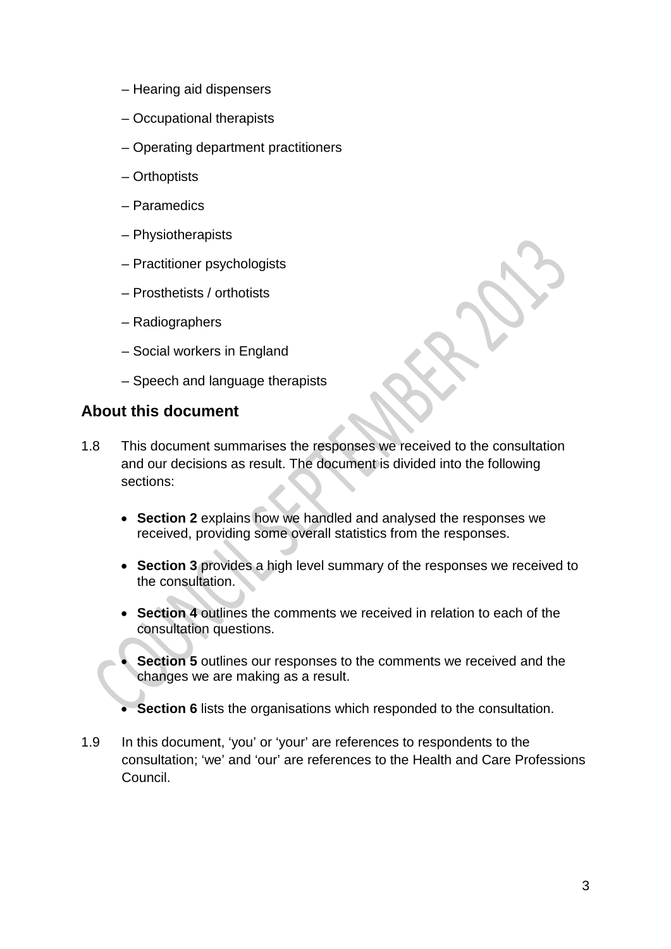- Hearing aid dispensers
- Occupational therapists
- Operating department practitioners
- Orthoptists
- Paramedics
- Physiotherapists
- Practitioner psychologists
- Prosthetists / orthotists
- Radiographers
- Social workers in England
- Speech and language therapists

## **About this document**

- 1.8 This document summarises the responses we received to the consultation and our decisions as result. The document is divided into the following sections:
	- **Section 2** explains how we handled and analysed the responses we received, providing some overall statistics from the responses.
	- **Section 3** provides a high level summary of the responses we received to the consultation.
	- **Section 4** outlines the comments we received in relation to each of the consultation questions.
	- **Section 5** outlines our responses to the comments we received and the changes we are making as a result.
	- **Section 6** lists the organisations which responded to the consultation.
- 1.9 In this document, 'you' or 'your' are references to respondents to the consultation; 'we' and 'our' are references to the Health and Care Professions Council.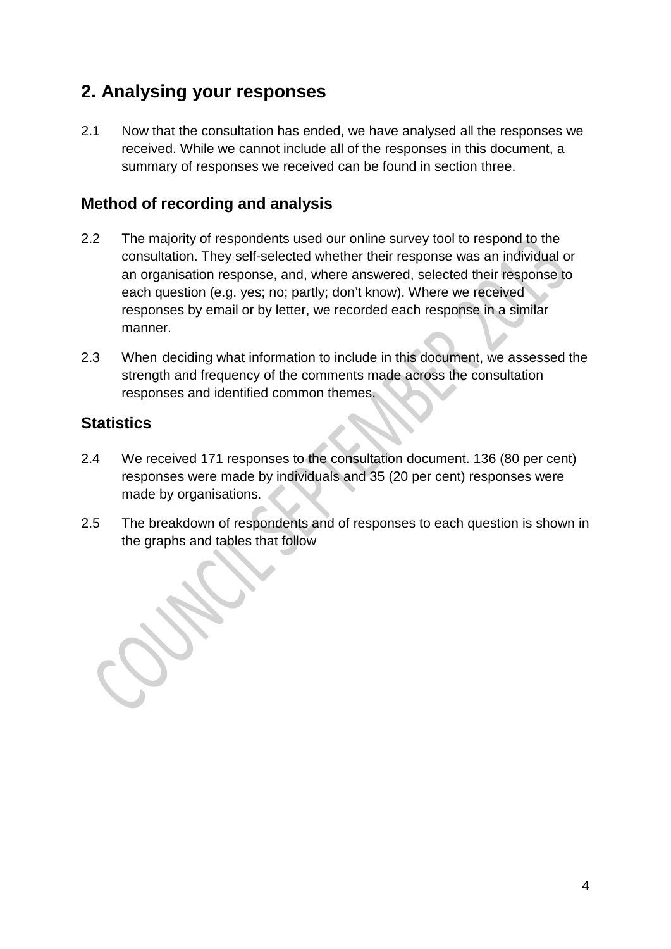# **2. Analysing your responses**

2.1 Now that the consultation has ended, we have analysed all the responses we received. While we cannot include all of the responses in this document, a summary of responses we received can be found in section three.

## **Method of recording and analysis**

- 2.2 The majority of respondents used our online survey tool to respond to the consultation. They self-selected whether their response was an individual or an organisation response, and, where answered, selected their response to each question (e.g. yes; no; partly; don't know). Where we received responses by email or by letter, we recorded each response in a similar manner.
- 2.3 When deciding what information to include in this document, we assessed the strength and frequency of the comments made across the consultation responses and identified common themes.

## **Statistics**

- 2.4 We received 171 responses to the consultation document. 136 (80 per cent) responses were made by individuals and 35 (20 per cent) responses were made by organisations.
- 2.5 The breakdown of respondents and of responses to each question is shown in the graphs and tables that follow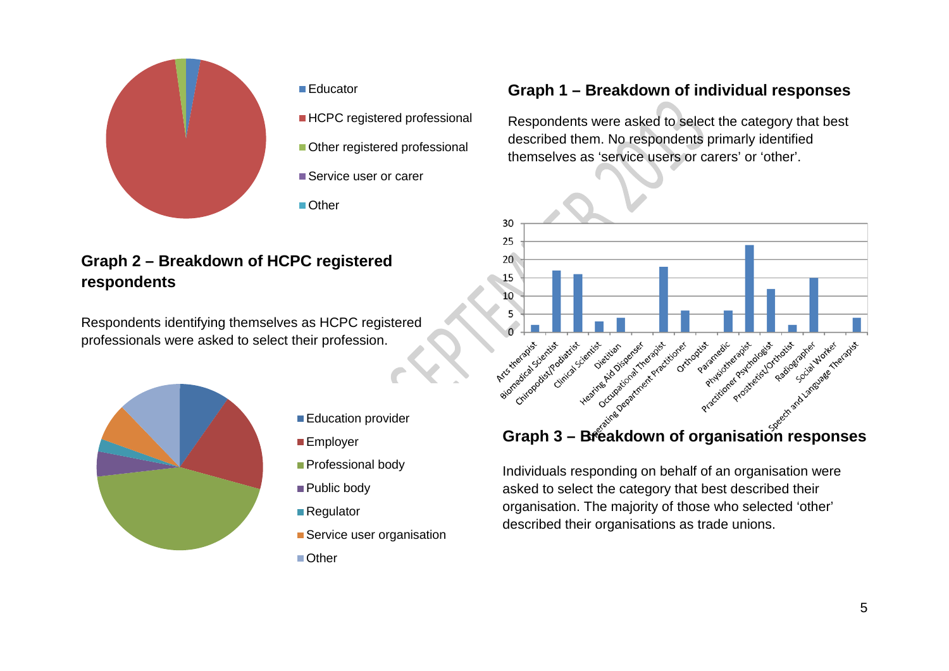

#### ■ Educator

- **HCPC** registered professional
- Other registered professional
- Service user or carer
- Other

## **Graph 2 – Breakdown of HCPC registered respondents**

Respondents identifying themselves as HCPC registered professionals were asked to select their profession.



- Education provider
- **Employer**
- Professional body
- Public body
- Regulator
- Service user organisation
- Other

## **Graph 1 – Breakdown of individual responses**

Respondents were asked to select the category that best described them. No respondents primarly identified themselves as 'service users or carers' or 'other'.



Individuals responding on behalf of an organisation were asked to select the category that best described their organisation. The majority of those who selected 'other' described their organisations as trade unions.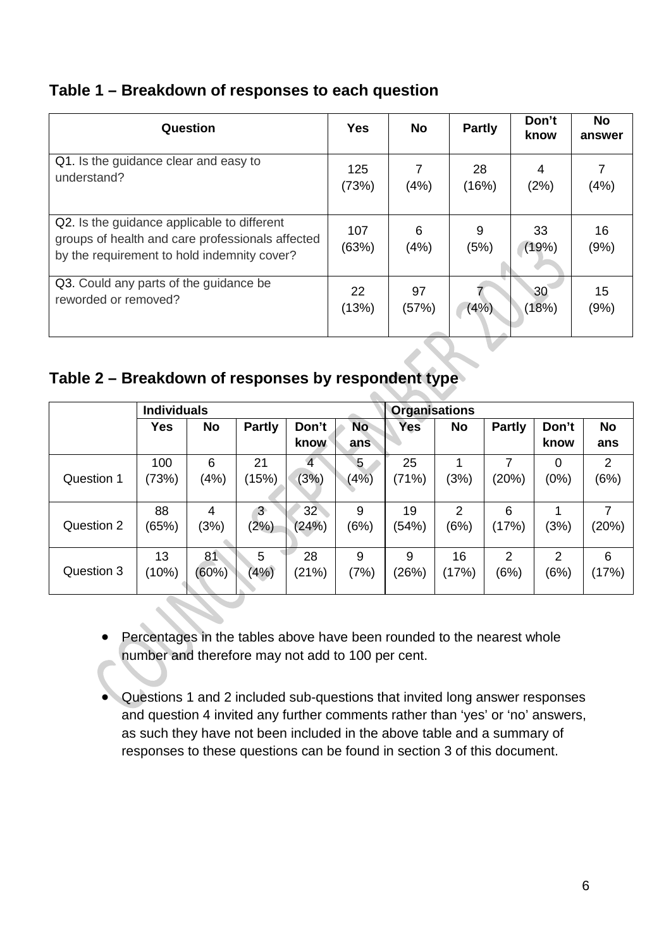## **Table 1 – Breakdown of responses to each question**

| Question                                                                                                                                       | <b>Yes</b>   | No        | <b>Partly</b> | Don't<br>know | <b>No</b><br>answer |
|------------------------------------------------------------------------------------------------------------------------------------------------|--------------|-----------|---------------|---------------|---------------------|
| Q1. Is the guidance clear and easy to                                                                                                          | 125          | 7         | 28            | 4             | (4%)                |
| understand?                                                                                                                                    | (73%)        | (4%)      | (16%)         | (2%)          |                     |
| Q2. Is the guidance applicable to different<br>groups of health and care professionals affected<br>by the requirement to hold indemnity cover? | 107<br>(63%) | 6<br>(4%) | 9<br>(5%)     | 33<br>(19%)   | 16<br>(9%)          |
| Q3. Could any parts of the guidance be                                                                                                         | 22           | 97        | (4%)          | 30            | 15                  |
| reworded or removed?                                                                                                                           | (13%)        | (57%)     |               | (18%)         | (9%)                |

## **Table 2 – Breakdown of responses by respondent type**

|            | <b>Individuals</b> |           |               |                 | <b>Organisations</b> |            |           |               |                |           |
|------------|--------------------|-----------|---------------|-----------------|----------------------|------------|-----------|---------------|----------------|-----------|
|            | Yes                | <b>No</b> | <b>Partly</b> | Don't           | <b>No</b>            | <b>Yes</b> | <b>No</b> | <b>Partly</b> | Don't          | <b>No</b> |
|            |                    |           |               | know            | ans                  |            |           |               | know           | ans       |
|            | 100                | 6         | 21            | $\overline{4}$  | 5                    | 25         | 1         | 7             | 0              | 2         |
| Question 1 | (73%)              | (4%)      | (15%)         | (3%)            | (4%)                 | (71%)      | (3%)      | (20%)         | (0%)           | (6%)      |
|            |                    |           |               |                 |                      |            |           |               |                |           |
|            | 88                 | 4         | $3 -$         | 32 <sup>2</sup> | 9                    | 19         | 2         | 6             |                | 7         |
| Question 2 | (65%)              | (3%)      | (2%)          | (24%)           | (6%)                 | (54%)      | (6%)      | (17%)         | (3%)           | (20%)     |
|            |                    |           |               |                 |                      |            |           |               |                |           |
|            | 13                 | 81        | 5             | 28              | 9                    | 9          | 16        | 2             | $\overline{2}$ | 6         |
| Question 3 | (10%)              | (60%)     | (4%)          | (21%)           | (7%)                 | (26%)      | (17%)     | (6%)          | (6%)           | (17%)     |
|            |                    |           |               |                 |                      |            |           |               |                |           |

- Percentages in the tables above have been rounded to the nearest whole number and therefore may not add to 100 per cent.
- Questions 1 and 2 included sub-questions that invited long answer responses and question 4 invited any further comments rather than 'yes' or 'no' answers, as such they have not been included in the above table and a summary of responses to these questions can be found in section 3 of this document.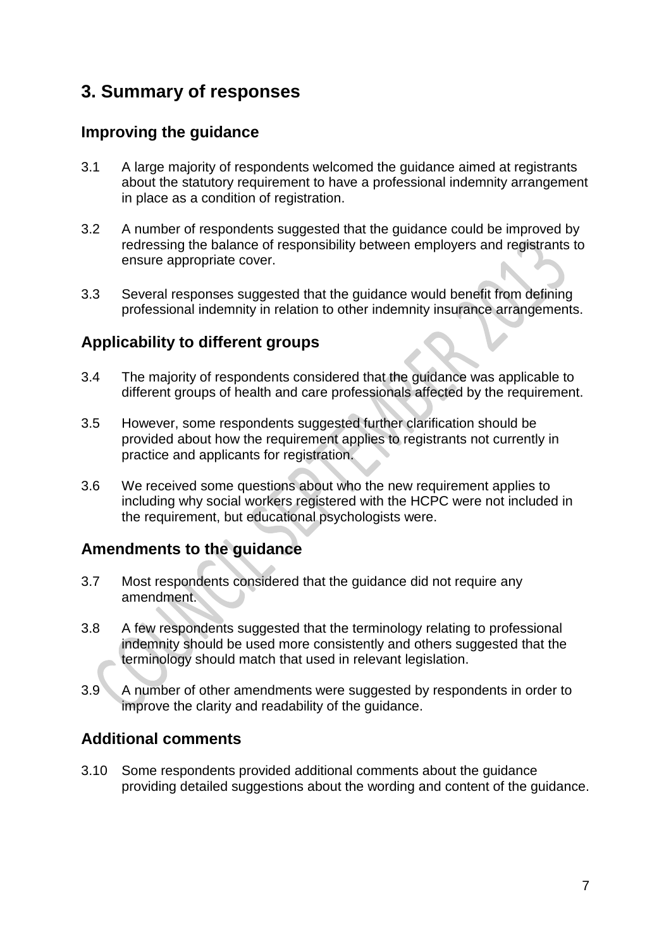# **3. Summary of responses**

## **Improving the guidance**

- 3.1 A large majority of respondents welcomed the guidance aimed at registrants about the statutory requirement to have a professional indemnity arrangement in place as a condition of registration.
- 3.2 A number of respondents suggested that the guidance could be improved by redressing the balance of responsibility between employers and registrants to ensure appropriate cover.
- 3.3 Several responses suggested that the guidance would benefit from defining professional indemnity in relation to other indemnity insurance arrangements.

## **Applicability to different groups**

- 3.4 The majority of respondents considered that the guidance was applicable to different groups of health and care professionals affected by the requirement.
- 3.5 However, some respondents suggested further clarification should be provided about how the requirement applies to registrants not currently in practice and applicants for registration.
- 3.6 We received some questions about who the new requirement applies to including why social workers registered with the HCPC were not included in the requirement, but educational psychologists were.

## **Amendments to the guidance**

- 3.7 Most respondents considered that the guidance did not require any amendment.
- 3.8 A few respondents suggested that the terminology relating to professional indemnity should be used more consistently and others suggested that the terminology should match that used in relevant legislation.
- 3.9 A number of other amendments were suggested by respondents in order to improve the clarity and readability of the guidance.

## **Additional comments**

3.10 Some respondents provided additional comments about the guidance providing detailed suggestions about the wording and content of the guidance.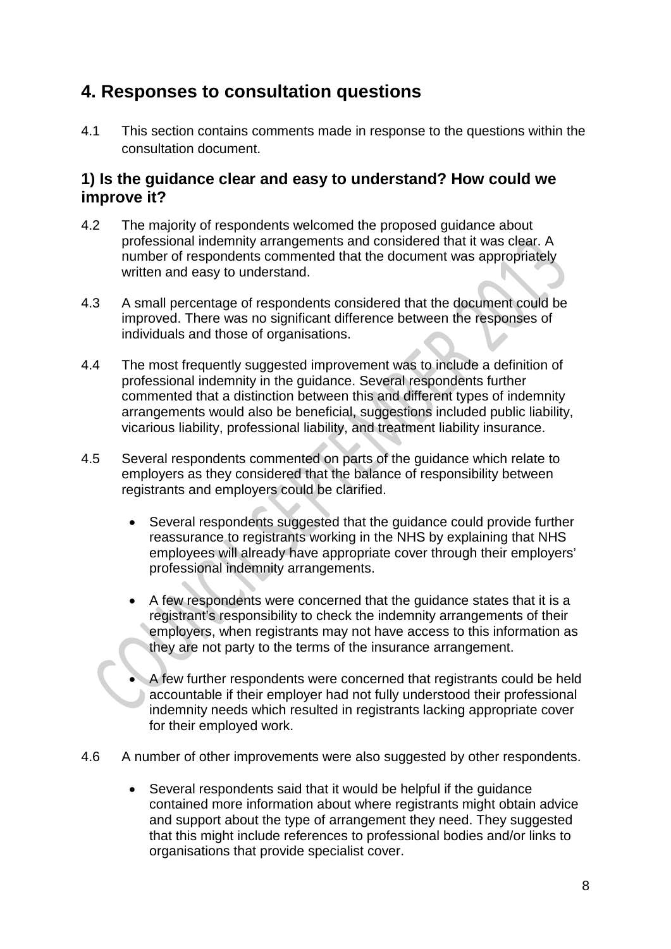# **4. Responses to consultation questions**

4.1 This section contains comments made in response to the questions within the consultation document.

## **1) Is the guidance clear and easy to understand? How could we improve it?**

- 4.2 The majority of respondents welcomed the proposed guidance about professional indemnity arrangements and considered that it was clear. A number of respondents commented that the document was appropriately written and easy to understand.
- 4.3 A small percentage of respondents considered that the document could be improved. There was no significant difference between the responses of individuals and those of organisations.
- 4.4 The most frequently suggested improvement was to include a definition of professional indemnity in the guidance. Several respondents further commented that a distinction between this and different types of indemnity arrangements would also be beneficial, suggestions included public liability, vicarious liability, professional liability, and treatment liability insurance.
- 4.5 Several respondents commented on parts of the guidance which relate to employers as they considered that the balance of responsibility between registrants and employers could be clarified.
	- Several respondents suggested that the guidance could provide further reassurance to registrants working in the NHS by explaining that NHS employees will already have appropriate cover through their employers' professional indemnity arrangements.
	- A few respondents were concerned that the guidance states that it is a registrant's responsibility to check the indemnity arrangements of their employers, when registrants may not have access to this information as they are not party to the terms of the insurance arrangement.
	- A few further respondents were concerned that registrants could be held accountable if their employer had not fully understood their professional indemnity needs which resulted in registrants lacking appropriate cover for their employed work.
- 4.6 A number of other improvements were also suggested by other respondents.
	- Several respondents said that it would be helpful if the guidance contained more information about where registrants might obtain advice and support about the type of arrangement they need. They suggested that this might include references to professional bodies and/or links to organisations that provide specialist cover.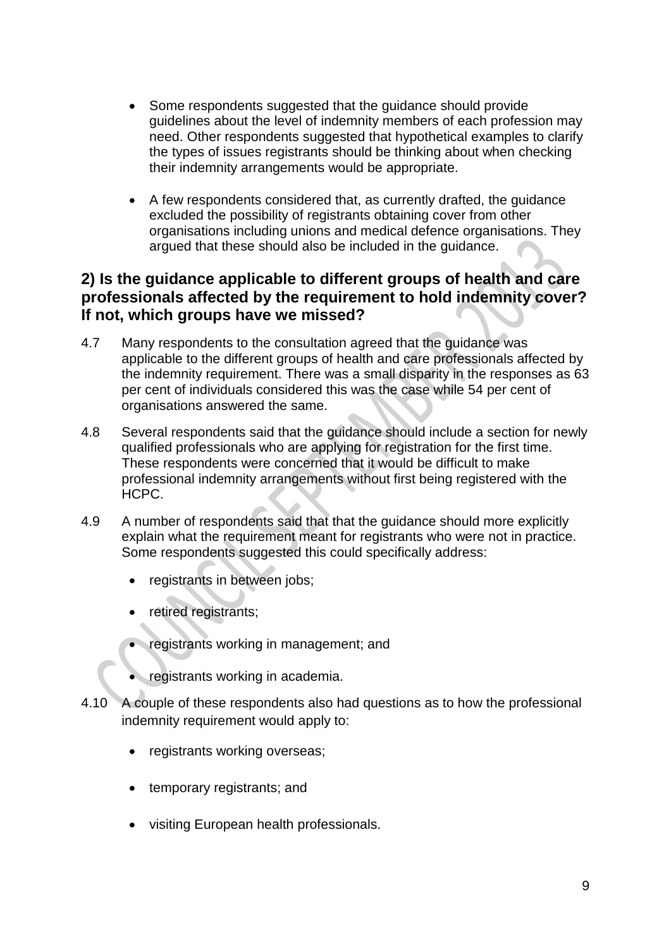- Some respondents suggested that the guidance should provide guidelines about the level of indemnity members of each profession may need. Other respondents suggested that hypothetical examples to clarify the types of issues registrants should be thinking about when checking their indemnity arrangements would be appropriate.
- A few respondents considered that, as currently drafted, the guidance excluded the possibility of registrants obtaining cover from other organisations including unions and medical defence organisations. They argued that these should also be included in the guidance.

## **2) Is the guidance applicable to different groups of health and care professionals affected by the requirement to hold indemnity cover? If not, which groups have we missed?**

- 4.7 Many respondents to the consultation agreed that the guidance was applicable to the different groups of health and care professionals affected by the indemnity requirement. There was a small disparity in the responses as 63 per cent of individuals considered this was the case while 54 per cent of organisations answered the same.
- 4.8 Several respondents said that the guidance should include a section for newly qualified professionals who are applying for registration for the first time. These respondents were concerned that it would be difficult to make professional indemnity arrangements without first being registered with the HCPC.
- 4.9 A number of respondents said that that the guidance should more explicitly explain what the requirement meant for registrants who were not in practice. Some respondents suggested this could specifically address:
	- registrants in between jobs;
	- retired registrants;
	- registrants working in management; and
	- registrants working in academia.
- 4.10 A couple of these respondents also had questions as to how the professional indemnity requirement would apply to:
	- registrants working overseas;
	- temporary registrants; and
	- visiting European health professionals.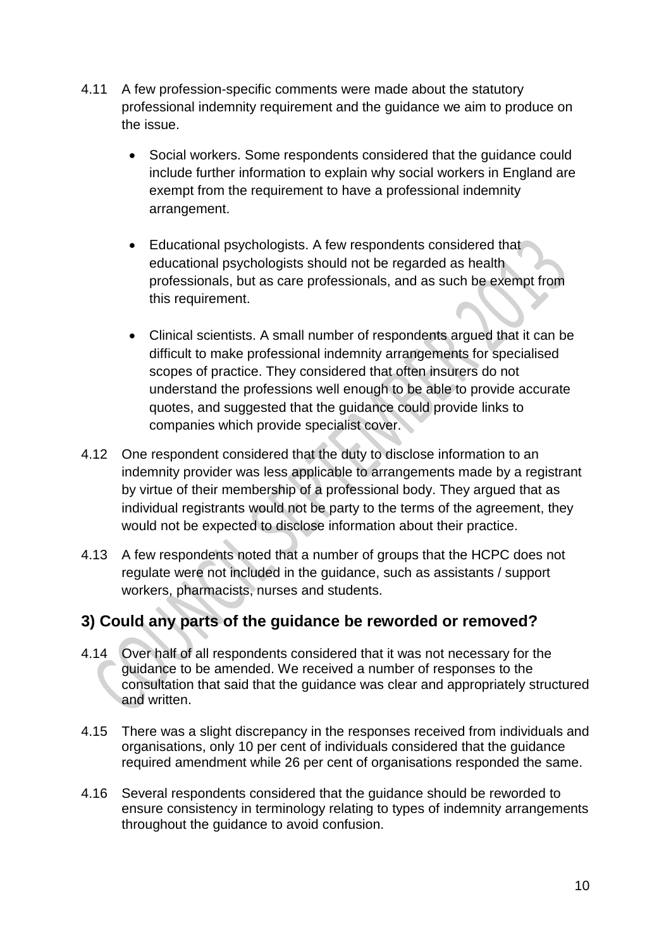- 4.11 A few profession-specific comments were made about the statutory professional indemnity requirement and the guidance we aim to produce on the issue.
	- Social workers. Some respondents considered that the guidance could include further information to explain why social workers in England are exempt from the requirement to have a professional indemnity arrangement.
	- Educational psychologists. A few respondents considered that educational psychologists should not be regarded as health professionals, but as care professionals, and as such be exempt from this requirement.
	- Clinical scientists. A small number of respondents argued that it can be difficult to make professional indemnity arrangements for specialised scopes of practice. They considered that often insurers do not understand the professions well enough to be able to provide accurate quotes, and suggested that the guidance could provide links to companies which provide specialist cover.
- 4.12 One respondent considered that the duty to disclose information to an indemnity provider was less applicable to arrangements made by a registrant by virtue of their membership of a professional body. They argued that as individual registrants would not be party to the terms of the agreement, they would not be expected to disclose information about their practice.
- 4.13 A few respondents noted that a number of groups that the HCPC does not regulate were not included in the guidance, such as assistants / support workers, pharmacists, nurses and students.

## **3) Could any parts of the guidance be reworded or removed?**

- 4.14 Over half of all respondents considered that it was not necessary for the guidance to be amended. We received a number of responses to the consultation that said that the guidance was clear and appropriately structured and written.
- 4.15 There was a slight discrepancy in the responses received from individuals and organisations, only 10 per cent of individuals considered that the guidance required amendment while 26 per cent of organisations responded the same.
- 4.16 Several respondents considered that the guidance should be reworded to ensure consistency in terminology relating to types of indemnity arrangements throughout the guidance to avoid confusion.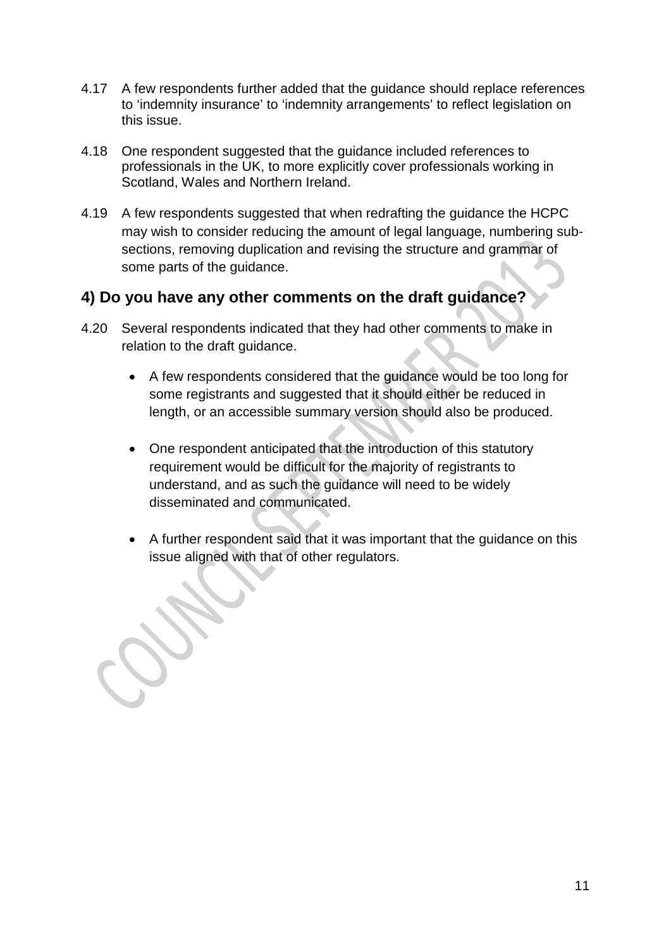- 4.17 A few respondents further added that the guidance should replace references to 'indemnity insurance' to 'indemnity arrangements' to reflect legislation on this issue.
- 4.18 One respondent suggested that the guidance included references to professionals in the UK, to more explicitly cover professionals working in Scotland, Wales and Northern Ireland.
- 4.19 A few respondents suggested that when redrafting the guidance the HCPC may wish to consider reducing the amount of legal language, numbering subsections, removing duplication and revising the structure and grammar of some parts of the guidance.

## **4) Do you have any other comments on the draft guidance?**

- 4.20 Several respondents indicated that they had other comments to make in relation to the draft guidance.
	- A few respondents considered that the guidance would be too long for some registrants and suggested that it should either be reduced in length, or an accessible summary version should also be produced.
	- One respondent anticipated that the introduction of this statutory requirement would be difficult for the majority of registrants to understand, and as such the guidance will need to be widely disseminated and communicated.
	- A further respondent said that it was important that the guidance on this issue aligned with that of other regulators.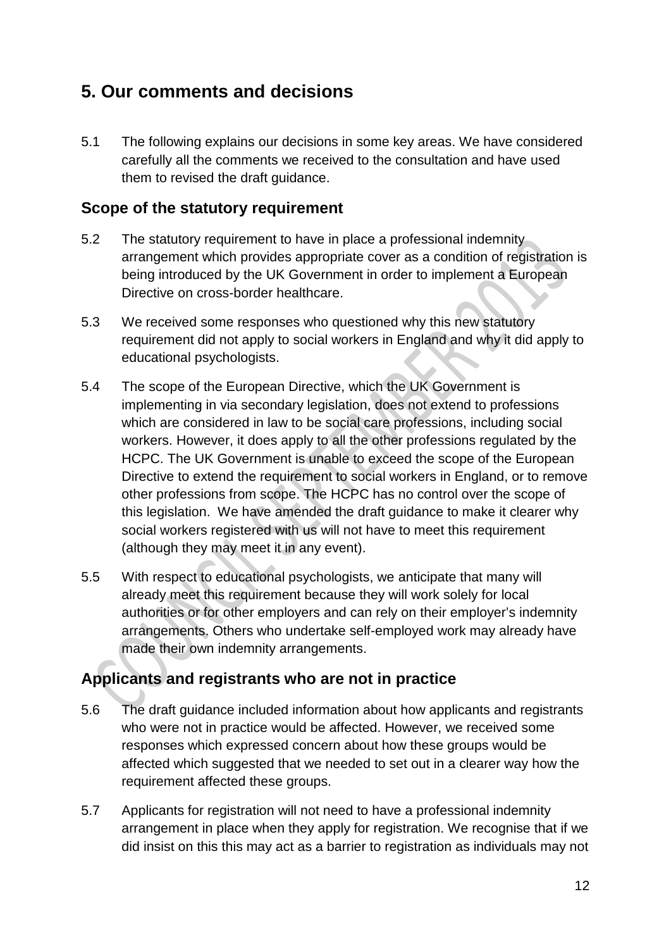# **5. Our comments and decisions**

5.1 The following explains our decisions in some key areas. We have considered carefully all the comments we received to the consultation and have used them to revised the draft guidance.

## **Scope of the statutory requirement**

- 5.2 The statutory requirement to have in place a professional indemnity arrangement which provides appropriate cover as a condition of registration is being introduced by the UK Government in order to implement a European Directive on cross-border healthcare.
- 5.3 We received some responses who questioned why this new statutory requirement did not apply to social workers in England and why it did apply to educational psychologists.
- 5.4 The scope of the European Directive, which the UK Government is implementing in via secondary legislation, does not extend to professions which are considered in law to be social care professions, including social workers. However, it does apply to all the other professions regulated by the HCPC. The UK Government is unable to exceed the scope of the European Directive to extend the requirement to social workers in England, or to remove other professions from scope. The HCPC has no control over the scope of this legislation. We have amended the draft guidance to make it clearer why social workers registered with us will not have to meet this requirement (although they may meet it in any event).
- 5.5 With respect to educational psychologists, we anticipate that many will already meet this requirement because they will work solely for local authorities or for other employers and can rely on their employer's indemnity arrangements. Others who undertake self-employed work may already have made their own indemnity arrangements.

## **Applicants and registrants who are not in practice**

- 5.6 The draft guidance included information about how applicants and registrants who were not in practice would be affected. However, we received some responses which expressed concern about how these groups would be affected which suggested that we needed to set out in a clearer way how the requirement affected these groups.
- 5.7 Applicants for registration will not need to have a professional indemnity arrangement in place when they apply for registration. We recognise that if we did insist on this this may act as a barrier to registration as individuals may not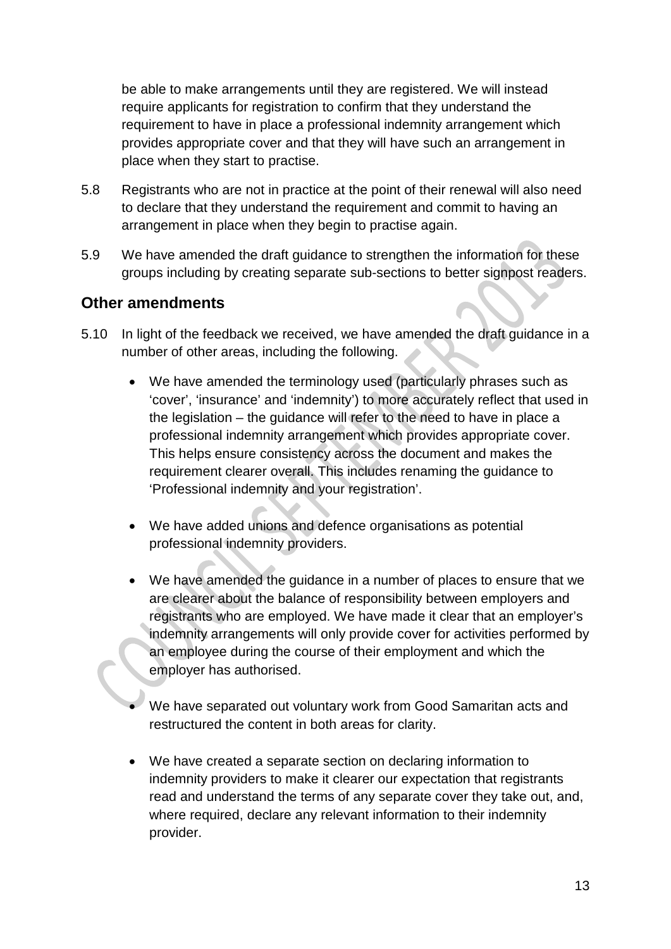be able to make arrangements until they are registered. We will instead require applicants for registration to confirm that they understand the requirement to have in place a professional indemnity arrangement which provides appropriate cover and that they will have such an arrangement in place when they start to practise.

- 5.8 Registrants who are not in practice at the point of their renewal will also need to declare that they understand the requirement and commit to having an arrangement in place when they begin to practise again.
- 5.9 We have amended the draft guidance to strengthen the information for these groups including by creating separate sub-sections to better signpost readers.

## **Other amendments**

- 5.10 In light of the feedback we received, we have amended the draft guidance in a number of other areas, including the following.
	- We have amended the terminology used (particularly phrases such as 'cover', 'insurance' and 'indemnity') to more accurately reflect that used in the legislation – the guidance will refer to the need to have in place a professional indemnity arrangement which provides appropriate cover. This helps ensure consistency across the document and makes the requirement clearer overall. This includes renaming the guidance to 'Professional indemnity and your registration'.
	- We have added unions and defence organisations as potential professional indemnity providers.
	- We have amended the guidance in a number of places to ensure that we are clearer about the balance of responsibility between employers and registrants who are employed. We have made it clear that an employer's indemnity arrangements will only provide cover for activities performed by an employee during the course of their employment and which the employer has authorised.
	- We have separated out voluntary work from Good Samaritan acts and restructured the content in both areas for clarity.
	- We have created a separate section on declaring information to indemnity providers to make it clearer our expectation that registrants read and understand the terms of any separate cover they take out, and, where required, declare any relevant information to their indemnity provider.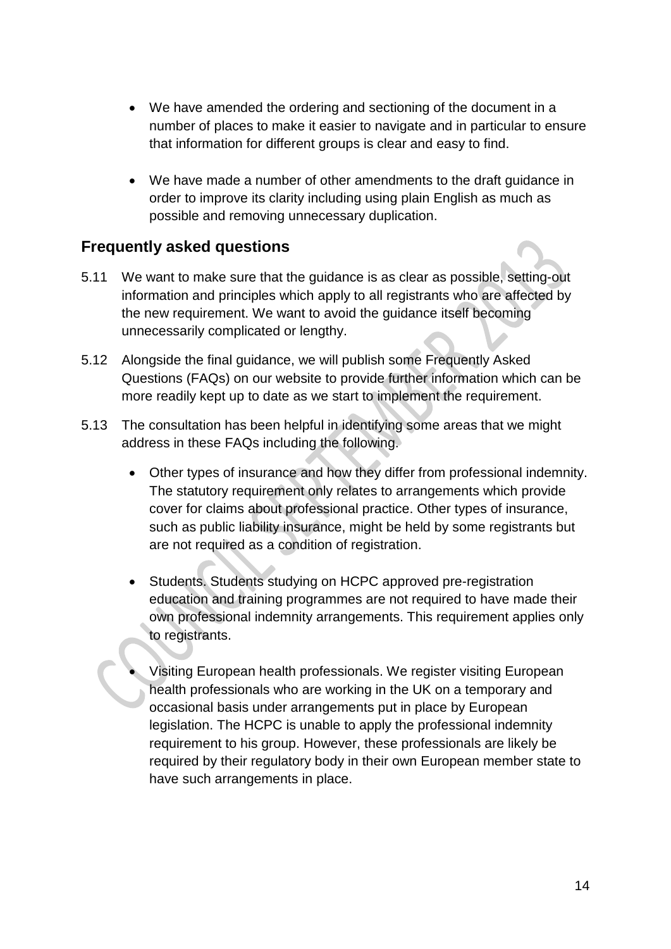- We have amended the ordering and sectioning of the document in a number of places to make it easier to navigate and in particular to ensure that information for different groups is clear and easy to find.
- We have made a number of other amendments to the draft guidance in order to improve its clarity including using plain English as much as possible and removing unnecessary duplication.

## **Frequently asked questions**

- 5.11 We want to make sure that the guidance is as clear as possible, setting-out information and principles which apply to all registrants who are affected by the new requirement. We want to avoid the guidance itself becoming unnecessarily complicated or lengthy.
- 5.12 Alongside the final guidance, we will publish some Frequently Asked Questions (FAQs) on our website to provide further information which can be more readily kept up to date as we start to implement the requirement.
- 5.13 The consultation has been helpful in identifying some areas that we might address in these FAQs including the following.
	- Other types of insurance and how they differ from professional indemnity. The statutory requirement only relates to arrangements which provide cover for claims about professional practice. Other types of insurance, such as public liability insurance, might be held by some registrants but are not required as a condition of registration.
	- Students. Students studying on HCPC approved pre-registration education and training programmes are not required to have made their own professional indemnity arrangements. This requirement applies only to registrants.
	- Visiting European health professionals. We register visiting European health professionals who are working in the UK on a temporary and occasional basis under arrangements put in place by European legislation. The HCPC is unable to apply the professional indemnity requirement to his group. However, these professionals are likely be required by their regulatory body in their own European member state to have such arrangements in place.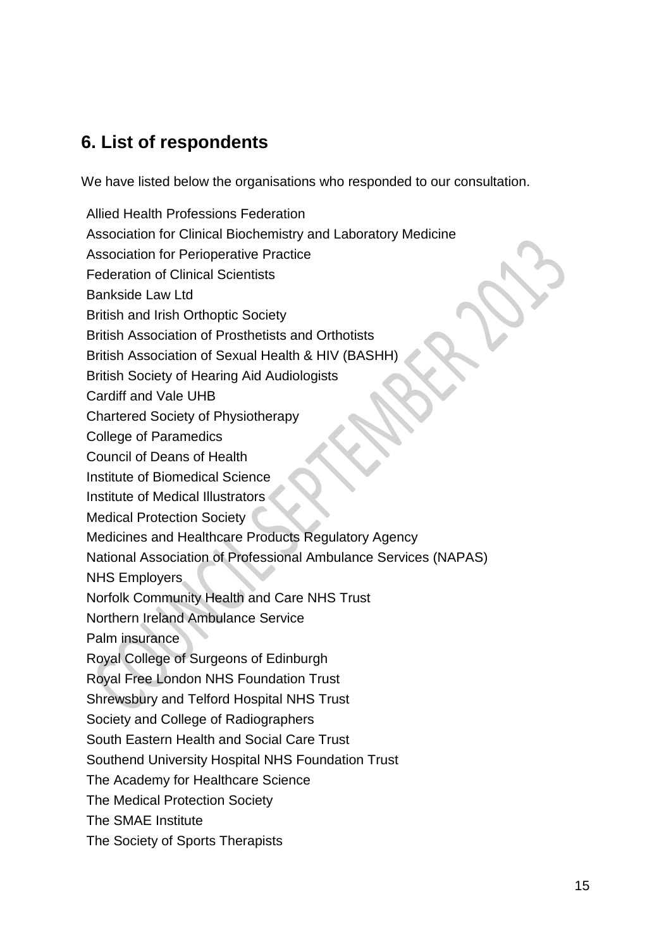# **6. List of respondents**

We have listed below the organisations who responded to our consultation.

Allied Health Professions Federation Association for Clinical Biochemistry and Laboratory Medicine Association for Perioperative Practice Federation of Clinical Scientists Bankside Law Ltd British and Irish Orthoptic Society British Association of Prosthetists and Orthotists British Association of Sexual Health & HIV (BASHH) British Society of Hearing Aid Audiologists Cardiff and Vale UHB Chartered Society of Physiotherapy College of Paramedics Council of Deans of Health Institute of Biomedical Science Institute of Medical Illustrators Medical Protection Society Medicines and Healthcare Products Regulatory Agency National Association of Professional Ambulance Services (NAPAS) NHS Employers Norfolk Community Health and Care NHS Trust Northern Ireland Ambulance Service Palm insurance Royal College of Surgeons of Edinburgh Royal Free London NHS Foundation Trust Shrewsbury and Telford Hospital NHS Trust Society and College of Radiographers South Eastern Health and Social Care Trust Southend University Hospital NHS Foundation Trust The Academy for Healthcare Science The Medical Protection Society The SMAE Institute The Society of Sports Therapists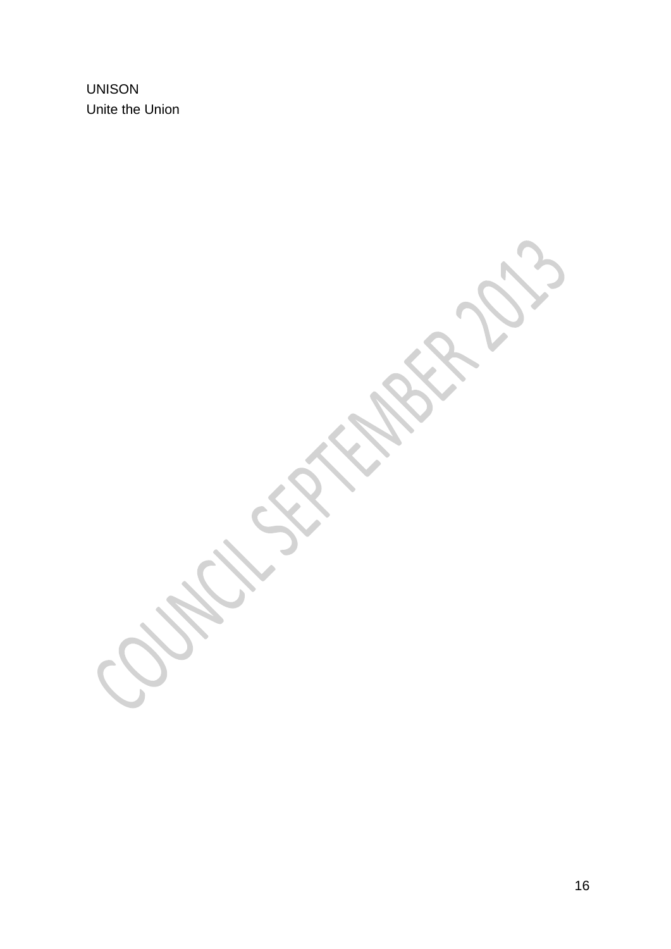UNISON Unite the Union

> N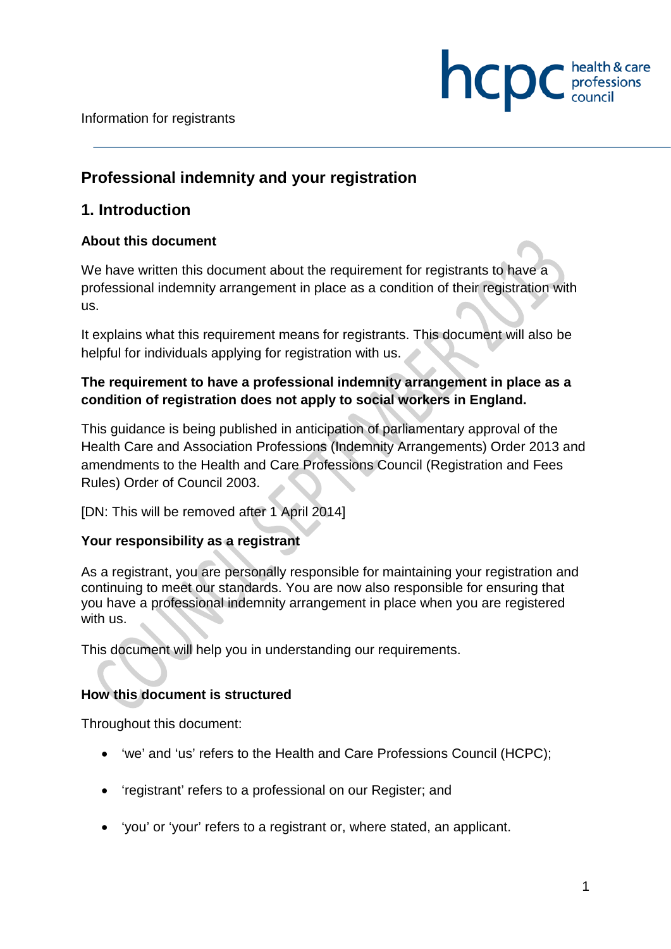Information for registrants

## **Professional indemnity and your registration**

## **1. Introduction**

#### **About this document**

We have written this document about the requirement for registrants to have a professional indemnity arrangement in place as a condition of their registration with us.

hcpc

It explains what this requirement means for registrants. This document will also be helpful for individuals applying for registration with us.

## **The requirement to have a professional indemnity arrangement in place as a condition of registration does not apply to social workers in England.**

This guidance is being published in anticipation of parliamentary approval of the Health Care and Association Professions (Indemnity Arrangements) Order 2013 and amendments to the Health and Care Professions Council (Registration and Fees Rules) Order of Council 2003.

[DN: This will be removed after 1 April 2014]

#### **Your responsibility as a registrant**

As a registrant, you are personally responsible for maintaining your registration and continuing to meet our standards. You are now also responsible for ensuring that you have a professional indemnity arrangement in place when you are registered with us.

This document will help you in understanding our requirements.

#### **How this document is structured**

Throughout this document:

- 'we' and 'us' refers to the Health and Care Professions Council (HCPC);
- 'registrant' refers to a professional on our Register; and
- 'you' or 'your' refers to a registrant or, where stated, an applicant.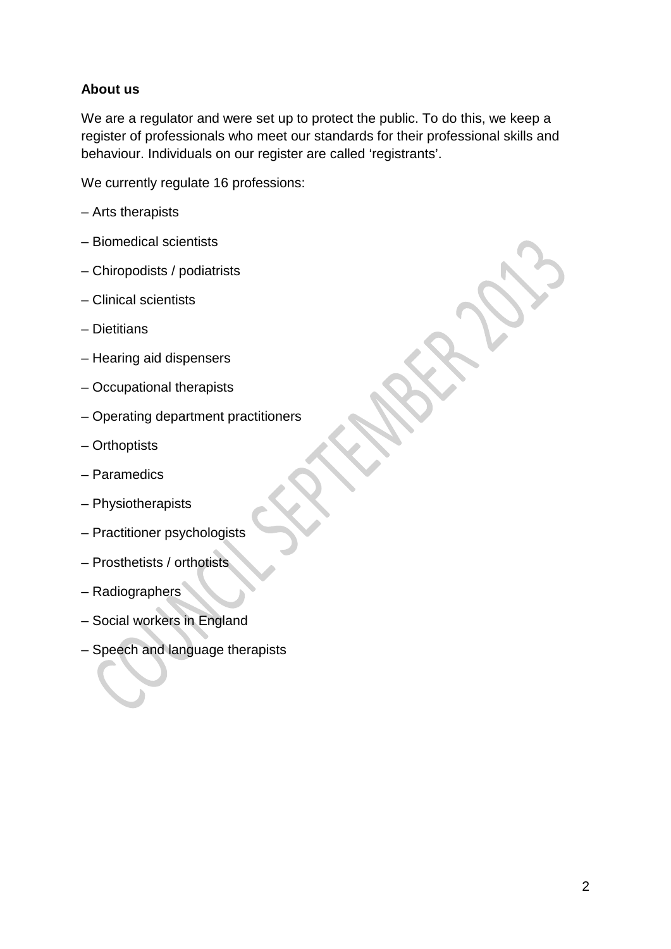## **About us**

We are a regulator and were set up to protect the public. To do this, we keep a register of professionals who meet our standards for their professional skills and behaviour. Individuals on our register are called 'registrants'.

We currently regulate 16 professions:

- Arts therapists
- Biomedical scientists
- Chiropodists / podiatrists
- Clinical scientists
- Dietitians
- Hearing aid dispensers
- Occupational therapists
- Operating department practitioners
- Orthoptists
- Paramedics
- Physiotherapists
- Practitioner psychologists
- Prosthetists / orthotists
- Radiographers
- Social workers in England
- Speech and language therapists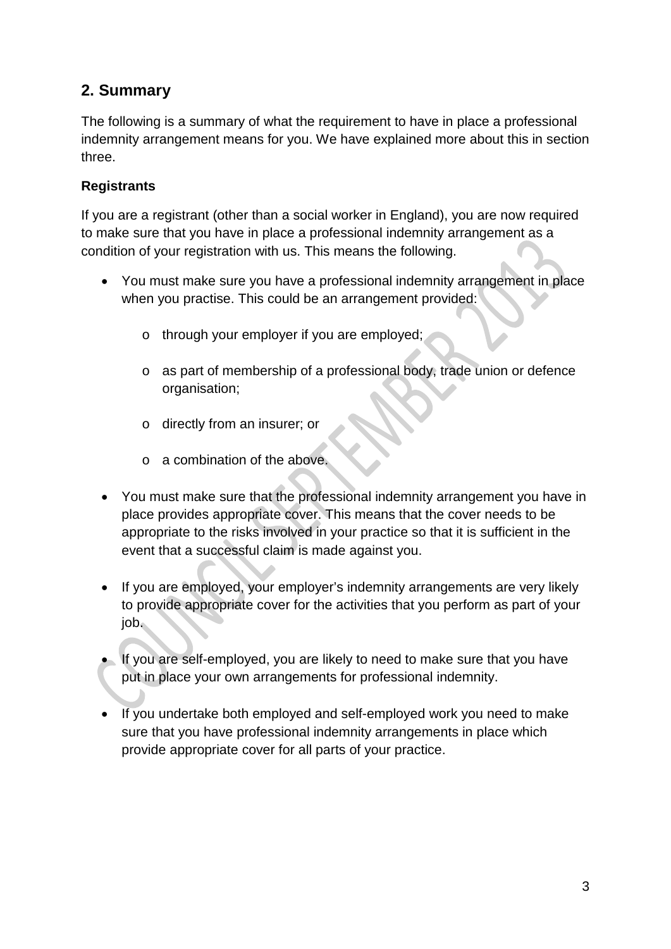## **2. Summary**

The following is a summary of what the requirement to have in place a professional indemnity arrangement means for you. We have explained more about this in section three.

## **Registrants**

If you are a registrant (other than a social worker in England), you are now required to make sure that you have in place a professional indemnity arrangement as a condition of your registration with us. This means the following.

- You must make sure you have a professional indemnity arrangement in place when you practise. This could be an arrangement provided:
	- o through your employer if you are employed;
	- o as part of membership of a professional body, trade union or defence organisation;
	- o directly from an insurer; or
	- o a combination of the above.
- You must make sure that the professional indemnity arrangement you have in place provides appropriate cover. This means that the cover needs to be appropriate to the risks involved in your practice so that it is sufficient in the event that a successful claim is made against you.
- If you are employed, your employer's indemnity arrangements are very likely to provide appropriate cover for the activities that you perform as part of your job.
- If you are self-employed, you are likely to need to make sure that you have put in place your own arrangements for professional indemnity.
- If you undertake both employed and self-employed work you need to make sure that you have professional indemnity arrangements in place which provide appropriate cover for all parts of your practice.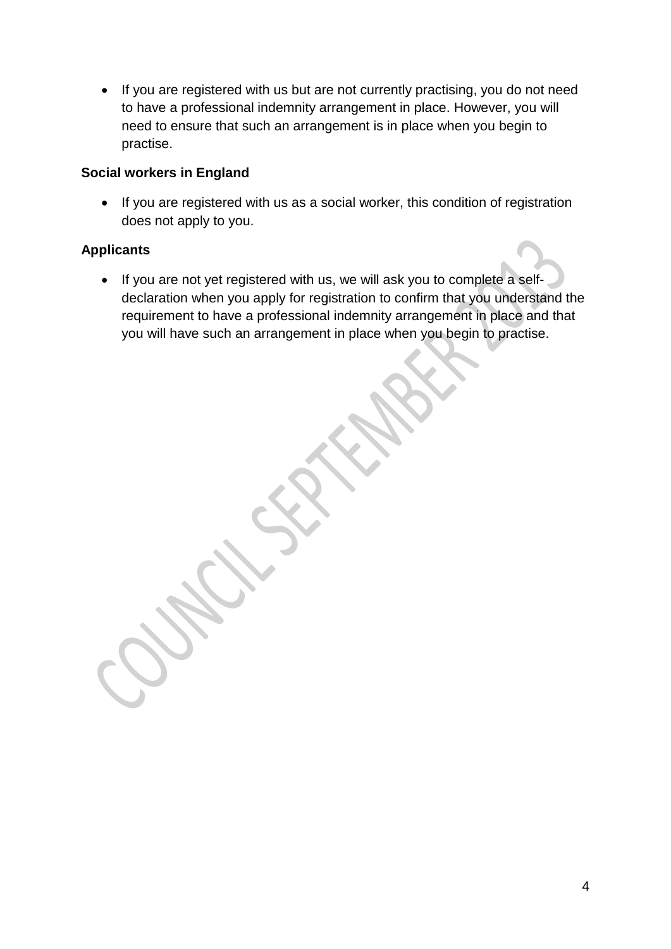• If you are registered with us but are not currently practising, you do not need to have a professional indemnity arrangement in place. However, you will need to ensure that such an arrangement is in place when you begin to practise.

#### **Social workers in England**

• If you are registered with us as a social worker, this condition of registration does not apply to you.

## **Applicants**

• If you are not yet registered with us, we will ask you to complete a selfdeclaration when you apply for registration to confirm that you understand the requirement to have a professional indemnity arrangement in place and that you will have such an arrangement in place when you begin to practise.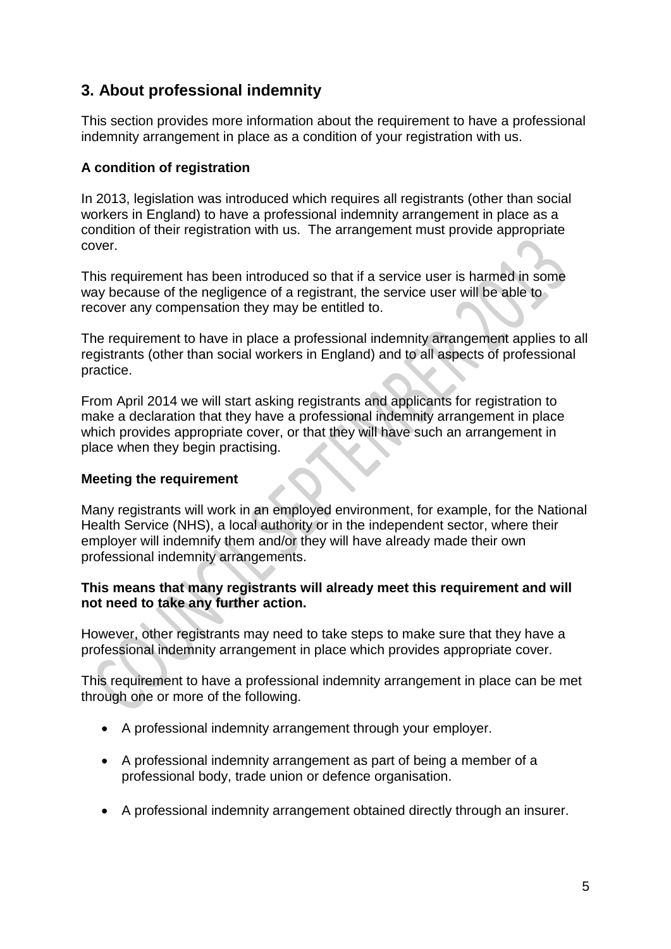## **3. About professional indemnity**

This section provides more information about the requirement to have a professional indemnity arrangement in place as a condition of your registration with us.

#### **A condition of registration**

In 2013, legislation was introduced which requires all registrants (other than social workers in England) to have a professional indemnity arrangement in place as a condition of their registration with us. The arrangement must provide appropriate cover.

This requirement has been introduced so that if a service user is harmed in some way because of the negligence of a registrant, the service user will be able to recover any compensation they may be entitled to.

The requirement to have in place a professional indemnity arrangement applies to all registrants (other than social workers in England) and to all aspects of professional practice.

From April 2014 we will start asking registrants and applicants for registration to make a declaration that they have a professional indemnity arrangement in place which provides appropriate cover, or that they will have such an arrangement in place when they begin practising.

#### **Meeting the requirement**

Many registrants will work in an employed environment, for example, for the National Health Service (NHS), a local authority or in the independent sector, where their employer will indemnify them and/or they will have already made their own professional indemnity arrangements.

#### **This means that many registrants will already meet this requirement and will not need to take any further action.**

However, other registrants may need to take steps to make sure that they have a professional indemnity arrangement in place which provides appropriate cover.

This requirement to have a professional indemnity arrangement in place can be met through one or more of the following.

- A professional indemnity arrangement through your employer.
- A professional indemnity arrangement as part of being a member of a professional body, trade union or defence organisation.
- A professional indemnity arrangement obtained directly through an insurer.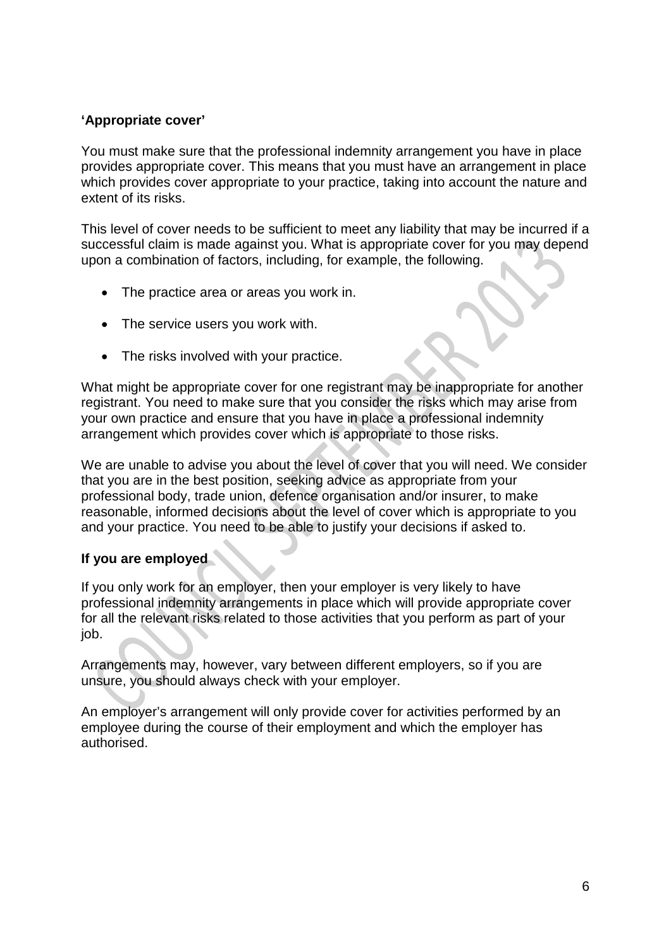#### **'Appropriate cover'**

You must make sure that the professional indemnity arrangement you have in place provides appropriate cover. This means that you must have an arrangement in place which provides cover appropriate to your practice, taking into account the nature and extent of its risks.

This level of cover needs to be sufficient to meet any liability that may be incurred if a successful claim is made against you. What is appropriate cover for you may depend upon a combination of factors, including, for example, the following.

- The practice area or areas you work in.
- The service users you work with.
- The risks involved with your practice.

What might be appropriate cover for one registrant may be inappropriate for another registrant. You need to make sure that you consider the risks which may arise from your own practice and ensure that you have in place a professional indemnity arrangement which provides cover which is appropriate to those risks.

We are unable to advise you about the level of cover that you will need. We consider that you are in the best position, seeking advice as appropriate from your professional body, trade union, defence organisation and/or insurer, to make reasonable, informed decisions about the level of cover which is appropriate to you and your practice. You need to be able to justify your decisions if asked to.

#### **If you are employed**

If you only work for an employer, then your employer is very likely to have professional indemnity arrangements in place which will provide appropriate cover for all the relevant risks related to those activities that you perform as part of your job.

Arrangements may, however, vary between different employers, so if you are unsure, you should always check with your employer.

An employer's arrangement will only provide cover for activities performed by an employee during the course of their employment and which the employer has authorised.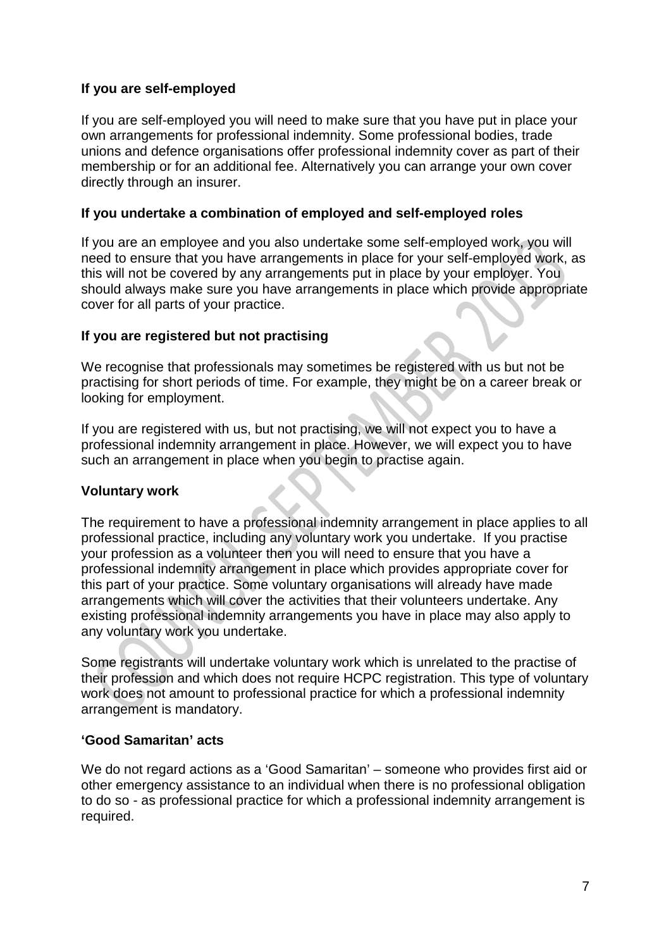#### **If you are self-employed**

If you are self-employed you will need to make sure that you have put in place your own arrangements for professional indemnity. Some professional bodies, trade unions and defence organisations offer professional indemnity cover as part of their membership or for an additional fee. Alternatively you can arrange your own cover directly through an insurer.

#### **If you undertake a combination of employed and self-employed roles**

If you are an employee and you also undertake some self-employed work, you will need to ensure that you have arrangements in place for your self-employed work, as this will not be covered by any arrangements put in place by your employer. You should always make sure you have arrangements in place which provide appropriate cover for all parts of your practice.

#### **If you are registered but not practising**

We recognise that professionals may sometimes be registered with us but not be practising for short periods of time. For example, they might be on a career break or looking for employment.

If you are registered with us, but not practising, we will not expect you to have a professional indemnity arrangement in place. However, we will expect you to have such an arrangement in place when you begin to practise again.

#### **Voluntary work**

The requirement to have a professional indemnity arrangement in place applies to all professional practice, including any voluntary work you undertake. If you practise your profession as a volunteer then you will need to ensure that you have a professional indemnity arrangement in place which provides appropriate cover for this part of your practice. Some voluntary organisations will already have made arrangements which will cover the activities that their volunteers undertake. Any existing professional indemnity arrangements you have in place may also apply to any voluntary work you undertake.

Some registrants will undertake voluntary work which is unrelated to the practise of their profession and which does not require HCPC registration. This type of voluntary work does not amount to professional practice for which a professional indemnity arrangement is mandatory.

#### **'Good Samaritan' acts**

We do not regard actions as a 'Good Samaritan' – someone who provides first aid or other emergency assistance to an individual when there is no professional obligation to do so - as professional practice for which a professional indemnity arrangement is required.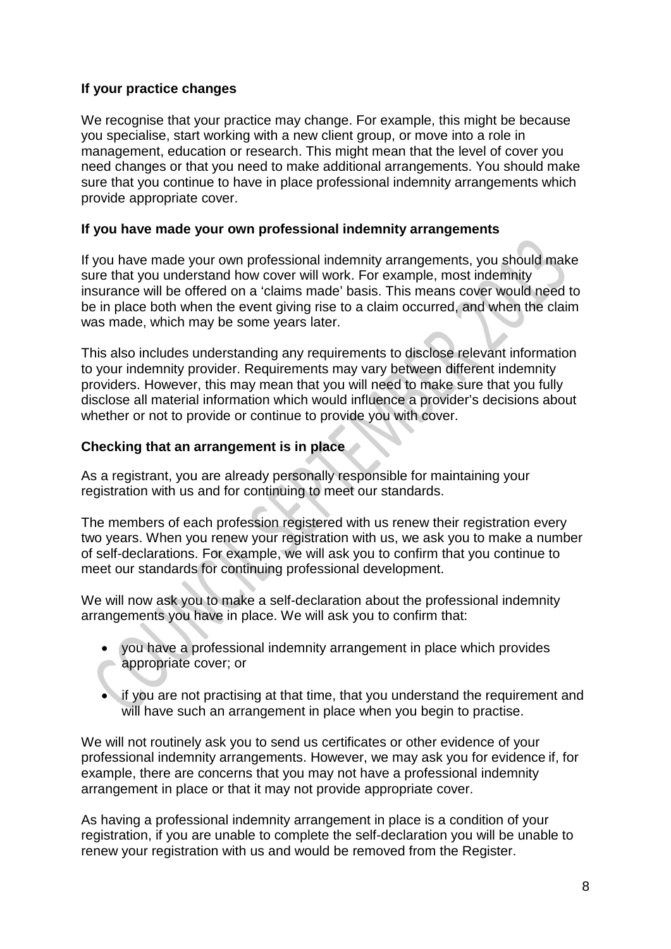#### **If your practice changes**

We recognise that your practice may change. For example, this might be because you specialise, start working with a new client group, or move into a role in management, education or research. This might mean that the level of cover you need changes or that you need to make additional arrangements. You should make sure that you continue to have in place professional indemnity arrangements which provide appropriate cover.

#### **If you have made your own professional indemnity arrangements**

If you have made your own professional indemnity arrangements, you should make sure that you understand how cover will work. For example, most indemnity insurance will be offered on a 'claims made' basis. This means cover would need to be in place both when the event giving rise to a claim occurred, and when the claim was made, which may be some years later.

This also includes understanding any requirements to disclose relevant information to your indemnity provider. Requirements may vary between different indemnity providers. However, this may mean that you will need to make sure that you fully disclose all material information which would influence a provider's decisions about whether or not to provide or continue to provide you with cover.

#### **Checking that an arrangement is in place**

As a registrant, you are already personally responsible for maintaining your registration with us and for continuing to meet our standards.

The members of each profession registered with us renew their registration every two years. When you renew your registration with us, we ask you to make a number of self-declarations. For example, we will ask you to confirm that you continue to meet our standards for continuing professional development.

We will now ask you to make a self-declaration about the professional indemnity arrangements you have in place. We will ask you to confirm that:

- you have a professional indemnity arrangement in place which provides appropriate cover; or
- if you are not practising at that time, that you understand the requirement and will have such an arrangement in place when you begin to practise.

We will not routinely ask you to send us certificates or other evidence of your professional indemnity arrangements. However, we may ask you for evidence if, for example, there are concerns that you may not have a professional indemnity arrangement in place or that it may not provide appropriate cover.

As having a professional indemnity arrangement in place is a condition of your registration, if you are unable to complete the self-declaration you will be unable to renew your registration with us and would be removed from the Register.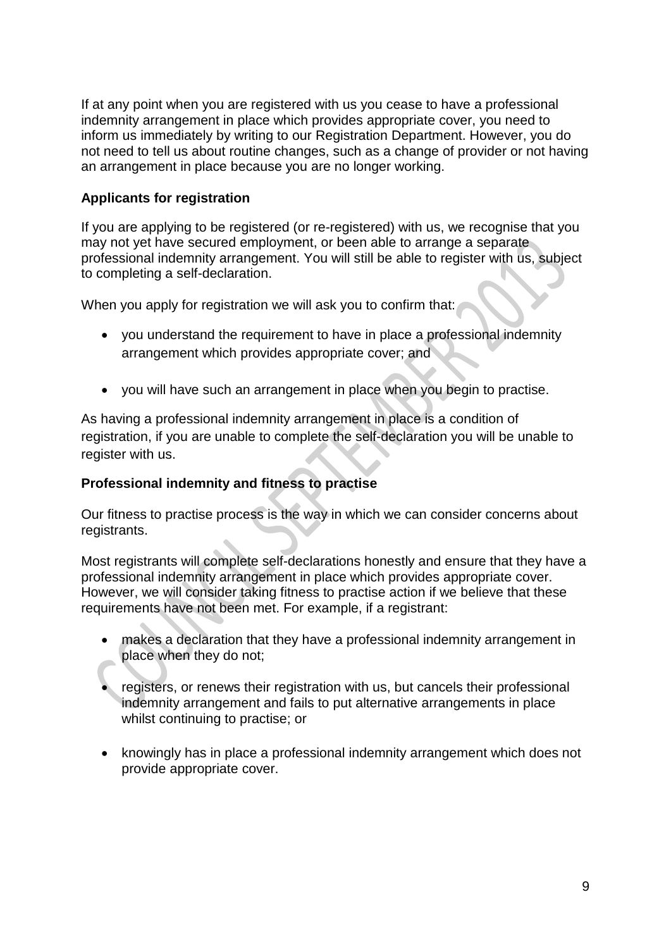If at any point when you are registered with us you cease to have a professional indemnity arrangement in place which provides appropriate cover, you need to inform us immediately by writing to our Registration Department. However, you do not need to tell us about routine changes, such as a change of provider or not having an arrangement in place because you are no longer working.

#### **Applicants for registration**

If you are applying to be registered (or re-registered) with us, we recognise that you may not yet have secured employment, or been able to arrange a separate professional indemnity arrangement. You will still be able to register with us, subject to completing a self-declaration.

When you apply for registration we will ask you to confirm that:

- you understand the requirement to have in place a professional indemnity arrangement which provides appropriate cover; and
- you will have such an arrangement in place when you begin to practise.

As having a professional indemnity arrangement in place is a condition of registration, if you are unable to complete the self-declaration you will be unable to register with us.

#### **Professional indemnity and fitness to practise**

Our fitness to practise process is the way in which we can consider concerns about registrants.

Most registrants will complete self-declarations honestly and ensure that they have a professional indemnity arrangement in place which provides appropriate cover. However, we will consider taking fitness to practise action if we believe that these requirements have not been met. For example, if a registrant:

- makes a declaration that they have a professional indemnity arrangement in place when they do not;
- registers, or renews their registration with us, but cancels their professional indemnity arrangement and fails to put alternative arrangements in place whilst continuing to practise; or
- knowingly has in place a professional indemnity arrangement which does not provide appropriate cover.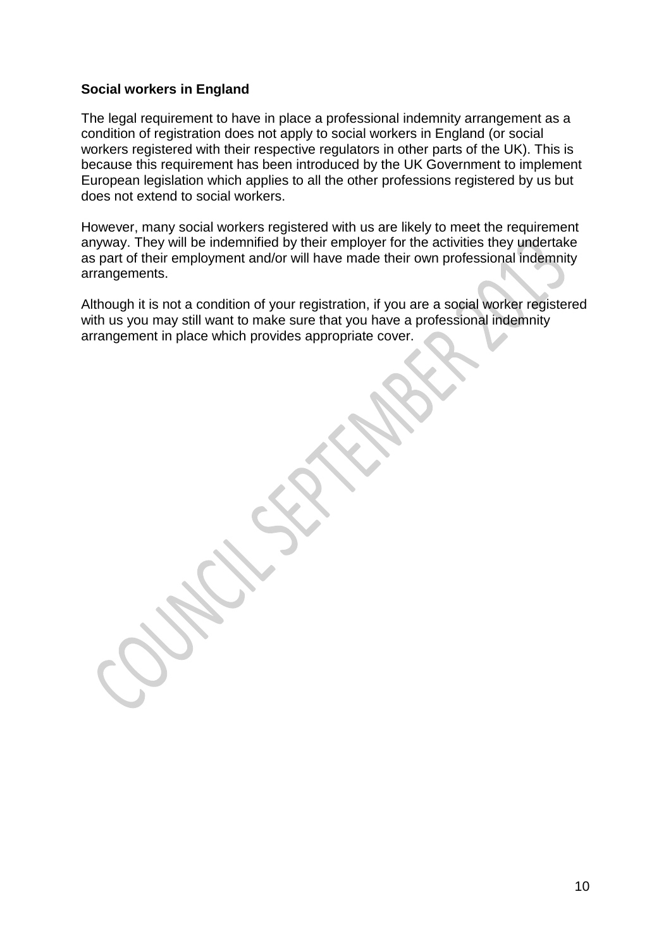#### **Social workers in England**

The legal requirement to have in place a professional indemnity arrangement as a condition of registration does not apply to social workers in England (or social workers registered with their respective regulators in other parts of the UK). This is because this requirement has been introduced by the UK Government to implement European legislation which applies to all the other professions registered by us but does not extend to social workers.

However, many social workers registered with us are likely to meet the requirement anyway. They will be indemnified by their employer for the activities they undertake as part of their employment and/or will have made their own professional indemnity arrangements.

Although it is not a condition of your registration, if you are a social worker registered with us you may still want to make sure that you have a professional indemnity arrangement in place which provides appropriate cover.